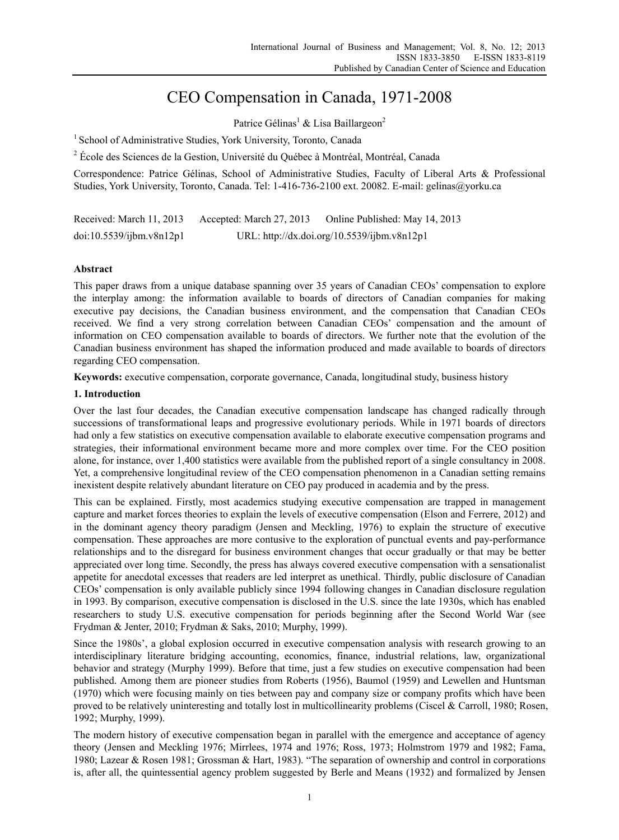# CEO Compensation in Canada, 1971-2008

Patrice Gélinas<sup>1</sup> & Lisa Baillargeon<sup>2</sup>

<sup>1</sup> School of Administrative Studies, York University, Toronto, Canada

<sup>2</sup> École des Sciences de la Gestion, Université du Québec à Montréal, Montréal, Canada

Correspondence: Patrice Gélinas, School of Administrative Studies, Faculty of Liberal Arts & Professional Studies, York University, Toronto, Canada. Tel: 1-416-736-2100 ext. 20082. E-mail: gelinas@yorku.ca

Received: March 11, 2013 Accepted: March 27, 2013 Online Published: May 14, 2013 doi:10.5539/ijbm.v8n12p1 URL: http://dx.doi.org/10.5539/ijbm.v8n12p1

# **Abstract**

This paper draws from a unique database spanning over 35 years of Canadian CEOs' compensation to explore the interplay among: the information available to boards of directors of Canadian companies for making executive pay decisions, the Canadian business environment, and the compensation that Canadian CEOs received. We find a very strong correlation between Canadian CEOs' compensation and the amount of information on CEO compensation available to boards of directors. We further note that the evolution of the Canadian business environment has shaped the information produced and made available to boards of directors regarding CEO compensation.

**Keywords:** executive compensation, corporate governance, Canada, longitudinal study, business history

# **1. Introduction**

Over the last four decades, the Canadian executive compensation landscape has changed radically through successions of transformational leaps and progressive evolutionary periods. While in 1971 boards of directors had only a few statistics on executive compensation available to elaborate executive compensation programs and strategies, their informational environment became more and more complex over time. For the CEO position alone, for instance, over 1,400 statistics were available from the published report of a single consultancy in 2008. Yet, a comprehensive longitudinal review of the CEO compensation phenomenon in a Canadian setting remains inexistent despite relatively abundant literature on CEO pay produced in academia and by the press.

This can be explained. Firstly, most academics studying executive compensation are trapped in management capture and market forces theories to explain the levels of executive compensation (Elson and Ferrere, 2012) and in the dominant agency theory paradigm (Jensen and Meckling, 1976) to explain the structure of executive compensation. These approaches are more contusive to the exploration of punctual events and pay-performance relationships and to the disregard for business environment changes that occur gradually or that may be better appreciated over long time. Secondly, the press has always covered executive compensation with a sensationalist appetite for anecdotal excesses that readers are led interpret as unethical. Thirdly, public disclosure of Canadian CEOs' compensation is only available publicly since 1994 following changes in Canadian disclosure regulation in 1993. By comparison, executive compensation is disclosed in the U.S. since the late 1930s, which has enabled researchers to study U.S. executive compensation for periods beginning after the Second World War (see Frydman & Jenter, 2010; Frydman & Saks, 2010; Murphy, 1999).

Since the 1980s', a global explosion occurred in executive compensation analysis with research growing to an interdisciplinary literature bridging accounting, economics, finance, industrial relations, law, organizational behavior and strategy (Murphy 1999). Before that time, just a few studies on executive compensation had been published. Among them are pioneer studies from Roberts (1956), Baumol (1959) and Lewellen and Huntsman (1970) which were focusing mainly on ties between pay and company size or company profits which have been proved to be relatively uninteresting and totally lost in multicollinearity problems (Ciscel & Carroll, 1980; Rosen, 1992; Murphy, 1999).

The modern history of executive compensation began in parallel with the emergence and acceptance of agency theory (Jensen and Meckling 1976; Mirrlees, 1974 and 1976; Ross, 1973; Holmstrom 1979 and 1982; Fama, 1980; Lazear & Rosen 1981; Grossman & Hart, 1983). "The separation of ownership and control in corporations is, after all, the quintessential agency problem suggested by Berle and Means (1932) and formalized by Jensen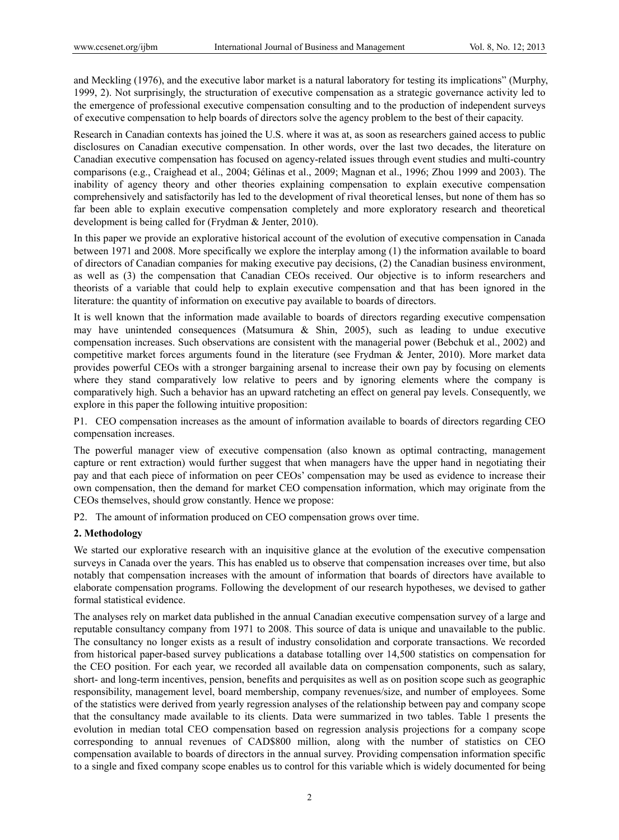and Meckling (1976), and the executive labor market is a natural laboratory for testing its implications" (Murphy, 1999, 2). Not surprisingly, the structuration of executive compensation as a strategic governance activity led to the emergence of professional executive compensation consulting and to the production of independent surveys of executive compensation to help boards of directors solve the agency problem to the best of their capacity.

Research in Canadian contexts has joined the U.S. where it was at, as soon as researchers gained access to public disclosures on Canadian executive compensation. In other words, over the last two decades, the literature on Canadian executive compensation has focused on agency-related issues through event studies and multi-country comparisons (e.g., Craighead et al., 2004; Gélinas et al., 2009; Magnan et al., 1996; Zhou 1999 and 2003). The inability of agency theory and other theories explaining compensation to explain executive compensation comprehensively and satisfactorily has led to the development of rival theoretical lenses, but none of them has so far been able to explain executive compensation completely and more exploratory research and theoretical development is being called for (Frydman & Jenter, 2010).

In this paper we provide an explorative historical account of the evolution of executive compensation in Canada between 1971 and 2008. More specifically we explore the interplay among (1) the information available to board of directors of Canadian companies for making executive pay decisions, (2) the Canadian business environment, as well as (3) the compensation that Canadian CEOs received. Our objective is to inform researchers and theorists of a variable that could help to explain executive compensation and that has been ignored in the literature: the quantity of information on executive pay available to boards of directors.

It is well known that the information made available to boards of directors regarding executive compensation may have unintended consequences (Matsumura  $\&$  Shin, 2005), such as leading to undue executive compensation increases. Such observations are consistent with the managerial power (Bebchuk et al., 2002) and competitive market forces arguments found in the literature (see Frydman & Jenter, 2010). More market data provides powerful CEOs with a stronger bargaining arsenal to increase their own pay by focusing on elements where they stand comparatively low relative to peers and by ignoring elements where the company is comparatively high. Such a behavior has an upward ratcheting an effect on general pay levels. Consequently, we explore in this paper the following intuitive proposition:

P1. CEO compensation increases as the amount of information available to boards of directors regarding CEO compensation increases.

The powerful manager view of executive compensation (also known as optimal contracting, management capture or rent extraction) would further suggest that when managers have the upper hand in negotiating their pay and that each piece of information on peer CEOs' compensation may be used as evidence to increase their own compensation, then the demand for market CEO compensation information, which may originate from the CEOs themselves, should grow constantly. Hence we propose:

P2. The amount of information produced on CEO compensation grows over time.

### **2. Methodology**

We started our explorative research with an inquisitive glance at the evolution of the executive compensation surveys in Canada over the years. This has enabled us to observe that compensation increases over time, but also notably that compensation increases with the amount of information that boards of directors have available to elaborate compensation programs. Following the development of our research hypotheses, we devised to gather formal statistical evidence.

The analyses rely on market data published in the annual Canadian executive compensation survey of a large and reputable consultancy company from 1971 to 2008. This source of data is unique and unavailable to the public. The consultancy no longer exists as a result of industry consolidation and corporate transactions. We recorded from historical paper-based survey publications a database totalling over 14,500 statistics on compensation for the CEO position. For each year, we recorded all available data on compensation components, such as salary, short- and long-term incentives, pension, benefits and perquisites as well as on position scope such as geographic responsibility, management level, board membership, company revenues/size, and number of employees. Some of the statistics were derived from yearly regression analyses of the relationship between pay and company scope that the consultancy made available to its clients. Data were summarized in two tables. Table 1 presents the evolution in median total CEO compensation based on regression analysis projections for a company scope corresponding to annual revenues of CAD\$800 million, along with the number of statistics on CEO compensation available to boards of directors in the annual survey. Providing compensation information specific to a single and fixed company scope enables us to control for this variable which is widely documented for being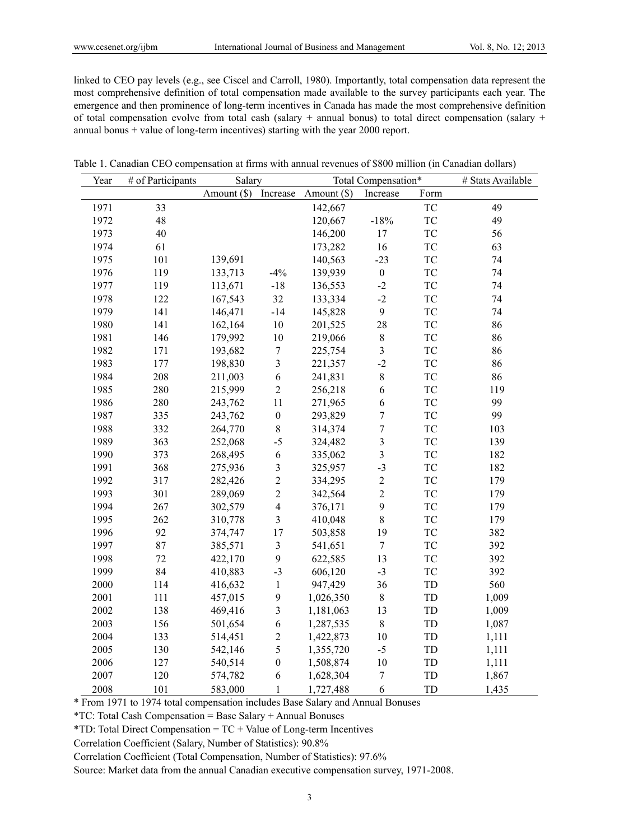linked to CEO pay levels (e.g., see Ciscel and Carroll, 1980). Importantly, total compensation data represent the most comprehensive definition of total compensation made available to the survey participants each year. The emergence and then prominence of long-term incentives in Canada has made the most comprehensive definition of total compensation evolve from total cash (salary + annual bonus) to total direct compensation (salary + annual bonus + value of long-term incentives) starting with the year 2000 report.

| Table 1. Canadian CEO compensation at firms with annual revenues of \$800 million (in Canadian dollars) |  |  |  |  |  |  |  |  |  |
|---------------------------------------------------------------------------------------------------------|--|--|--|--|--|--|--|--|--|
|---------------------------------------------------------------------------------------------------------|--|--|--|--|--|--|--|--|--|

| Year | Salary<br># of Participants |             | Total Compensation*     |             |                         | # Stats Available |       |
|------|-----------------------------|-------------|-------------------------|-------------|-------------------------|-------------------|-------|
|      |                             | Amount (\$) | Increase                | Amount (\$) | Increase                | Form              |       |
| 1971 | 33                          |             |                         | 142,667     |                         | <b>TC</b>         | 49    |
| 1972 | 48                          |             |                         | 120,667     | $-18%$                  | TC                | 49    |
| 1973 | 40                          |             |                         | 146,200     | $17$                    | <b>TC</b>         | 56    |
| 1974 | 61                          |             |                         | 173,282     | 16                      | TC                | 63    |
| 1975 | 101                         | 139,691     |                         | 140,563     | $-23$                   | TC                | 74    |
| 1976 | 119                         | 133,713     | $-4%$                   | 139,939     | $\boldsymbol{0}$        | ${\rm TC}$        | 74    |
| 1977 | 119                         | 113,671     | $-18$                   | 136,553     | $-2$                    | TC                | 74    |
| 1978 | 122                         | 167,543     | 32                      | 133,334     | $-2$                    | <b>TC</b>         | 74    |
| 1979 | 141                         | 146,471     | $-14$                   | 145,828     | $\mathbf{9}$            | <b>TC</b>         | 74    |
| 1980 | 141                         | 162,164     | $10\,$                  | 201,525     | 28                      | TC                | 86    |
| 1981 | 146                         | 179,992     | $10\,$                  | 219,066     | $\,$ $\,$               | TC                | 86    |
| 1982 | 171                         | 193,682     | $\boldsymbol{7}$        | 225,754     | $\overline{\mathbf{3}}$ | TC                | 86    |
| 1983 | 177                         | 198,830     | $\overline{\mathbf{3}}$ | 221,357     | $-2$                    | TC                | 86    |
| 1984 | 208                         | 211,003     | $\boldsymbol{6}$        | 241,831     | 8                       | ${\rm TC}$        | 86    |
| 1985 | 280                         | 215,999     | $\overline{2}$          | 256,218     | 6                       | TC                | 119   |
| 1986 | 280                         | 243,762     | 11                      | 271,965     | 6                       | <b>TC</b>         | 99    |
| 1987 | 335                         | 243,762     | $\boldsymbol{0}$        | 293,829     | $\overline{7}$          | <b>TC</b>         | 99    |
| 1988 | 332                         | 264,770     | $\,8\,$                 | 314,374     | $\overline{7}$          | <b>TC</b>         | 103   |
| 1989 | 363                         | 252,068     | $-5$                    | 324,482     | $\overline{\mathbf{3}}$ | <b>TC</b>         | 139   |
| 1990 | 373                         | 268,495     | 6                       | 335,062     | $\overline{\mathbf{3}}$ | TC                | 182   |
| 1991 | 368                         | 275,936     | $\mathfrak{Z}$          | 325,957     | $-3$                    | ${\rm TC}$        | 182   |
| 1992 | 317                         | 282,426     | $\overline{2}$          | 334,295     | $\overline{2}$          | <b>TC</b>         | 179   |
| 1993 | 301                         | 289,069     | $\overline{c}$          | 342,564     | $\overline{2}$          | ${\rm TC}$        | 179   |
| 1994 | 267                         | 302,579     | $\overline{4}$          | 376,171     | 9                       | <b>TC</b>         | 179   |
| 1995 | 262                         | 310,778     | $\overline{\mathbf{3}}$ | 410,048     | $8\,$                   | TC                | 179   |
| 1996 | 92                          | 374,747     | 17                      | 503,858     | 19                      | <b>TC</b>         | 382   |
| 1997 | 87                          | 385,571     | $\overline{\mathbf{3}}$ | 541,651     | $\tau$                  | TC                | 392   |
| 1998 | 72                          | 422,170     | 9                       | 622,585     | 13                      | TC                | 392   |
| 1999 | 84                          | 410,883     | $-3$                    | 606,120     | $-3$                    | TC                | 392   |
| 2000 | 114                         | 416,632     | $\mathbf{1}$            | 947,429     | 36                      | ${\rm TD}$        | 560   |
| 2001 | 111                         | 457,015     | 9                       | 1,026,350   | $8\,$                   | ${\rm TD}$        | 1,009 |
| 2002 | 138                         | 469,416     | $\mathfrak{Z}$          | 1,181,063   | 13                      | ${\rm TD}$        | 1,009 |
| 2003 | 156                         | 501,654     | 6                       | 1,287,535   | 8                       | ${\rm TD}$        | 1,087 |
| 2004 | 133                         | 514,451     | $\overline{\mathbf{c}}$ | 1,422,873   | 10                      | ${\rm TD}$        | 1,111 |
| 2005 | 130                         | 542,146     | 5                       | 1,355,720   | $-5$                    | ${\rm TD}$        | 1,111 |
| 2006 | 127                         | 540,514     | $\boldsymbol{0}$        | 1,508,874   | $10\,$                  | TD                | 1,111 |
| 2007 | 120                         | 574,782     | 6                       | 1,628,304   | $\boldsymbol{7}$        | TD                | 1,867 |
| 2008 | 101                         | 583,000     | $\mathbf{1}$            | 1,727,488   | 6                       | TD                | 1,435 |

\* From 1971 to 1974 total compensation includes Base Salary and Annual Bonuses

\*TC: Total Cash Compensation = Base Salary + Annual Bonuses

 $*$ TD: Total Direct Compensation = TC + Value of Long-term Incentives

Correlation Coefficient (Salary, Number of Statistics): 90.8%

Correlation Coefficient (Total Compensation, Number of Statistics): 97.6%

Source: Market data from the annual Canadian executive compensation survey, 1971-2008.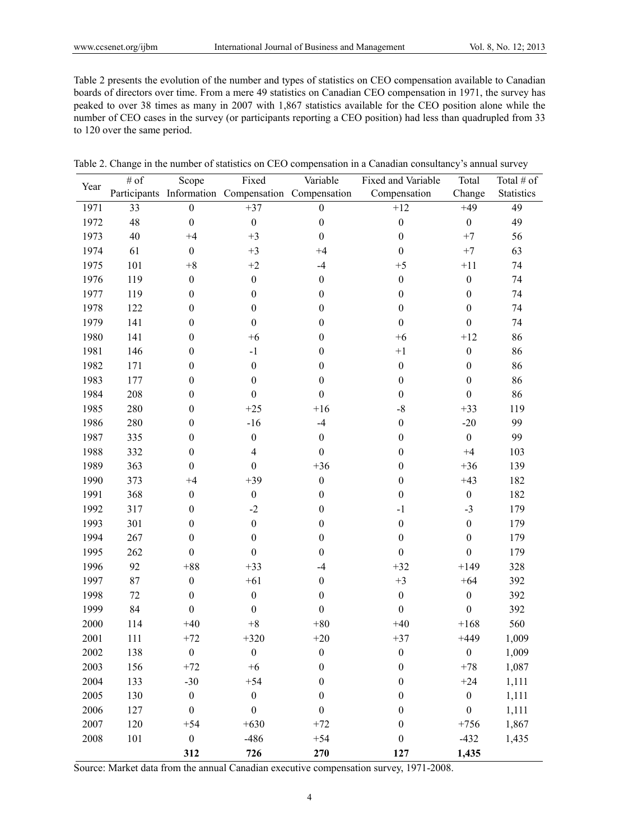Table 2 presents the evolution of the number and types of statistics on CEO compensation available to Canadian boards of directors over time. From a mere 49 statistics on Canadian CEO compensation in 1971, the survey has peaked to over 38 times as many in 2007 with 1,867 statistics available for the CEO position alone while the number of CEO cases in the survey (or participants reporting a CEO position) had less than quadrupled from 33 to 120 over the same period.

| # of<br>Year |              | Scope            | Fixed                                 | Variable         | Fixed and Variable | Total            | Total $#$ of |  |
|--------------|--------------|------------------|---------------------------------------|------------------|--------------------|------------------|--------------|--|
|              | Participants |                  | Information Compensation Compensation |                  | Compensation       | Change           | Statistics   |  |
| 1971         | 33           | $\boldsymbol{0}$ | $+37$                                 | $\boldsymbol{0}$ | $+12$              | $+49$            | 49           |  |
| 1972         | 48           | $\boldsymbol{0}$ | $\boldsymbol{0}$                      | $\boldsymbol{0}$ | $\boldsymbol{0}$   | $\boldsymbol{0}$ | 49           |  |
| 1973         | 40           | $+4$             | $+3$                                  | $\boldsymbol{0}$ | $\boldsymbol{0}$   | $+7$             | 56           |  |
| 1974         | 61           | $\boldsymbol{0}$ | $+3$                                  | $+4$             | $\boldsymbol{0}$   | $+7$             | 63           |  |
| 1975         | 101          | $+8$             | $+2$                                  | $-4$             | $+5$               | $+11$            | 74           |  |
| 1976         | 119          | $\boldsymbol{0}$ | $\boldsymbol{0}$                      | $\boldsymbol{0}$ | $\boldsymbol{0}$   | $\boldsymbol{0}$ | 74           |  |
| 1977         | 119          | $\boldsymbol{0}$ | $\boldsymbol{0}$                      | $\boldsymbol{0}$ | $\boldsymbol{0}$   | $\boldsymbol{0}$ | 74           |  |
| 1978         | 122          | $\boldsymbol{0}$ | $\boldsymbol{0}$                      | $\boldsymbol{0}$ | $\boldsymbol{0}$   | $\boldsymbol{0}$ | 74           |  |
| 1979         | 141          | $\boldsymbol{0}$ | $\boldsymbol{0}$                      | $\boldsymbol{0}$ | $\boldsymbol{0}$   | $\boldsymbol{0}$ | 74           |  |
| 1980         | 141          | $\boldsymbol{0}$ | $+6$                                  | $\boldsymbol{0}$ | $+6$               | $+12$            | 86           |  |
| 1981         | 146          | $\boldsymbol{0}$ | $-1$                                  | $\boldsymbol{0}$ | $+1$               | $\boldsymbol{0}$ | 86           |  |
| 1982         | 171          | $\boldsymbol{0}$ | $\boldsymbol{0}$                      | $\boldsymbol{0}$ | $\boldsymbol{0}$   | $\boldsymbol{0}$ | 86           |  |
| 1983         | 177          | $\boldsymbol{0}$ | $\boldsymbol{0}$                      | $\boldsymbol{0}$ | $\boldsymbol{0}$   | $\boldsymbol{0}$ | 86           |  |
| 1984         | 208          | $\boldsymbol{0}$ | $\boldsymbol{0}$                      | $\boldsymbol{0}$ | $\boldsymbol{0}$   | $\boldsymbol{0}$ | 86           |  |
| 1985         | 280          | $\boldsymbol{0}$ | $+25$                                 | $+16$            | $-8$               | $+33$            | 119          |  |
| 1986         | 280          | $\boldsymbol{0}$ | $-16$                                 | $-4$             | $\boldsymbol{0}$   | $-20$            | 99           |  |
| 1987         | 335          | $\boldsymbol{0}$ | $\boldsymbol{0}$                      | $\boldsymbol{0}$ | $\boldsymbol{0}$   | $\boldsymbol{0}$ | 99           |  |
| 1988         | 332          | $\boldsymbol{0}$ | $\overline{4}$                        | $\boldsymbol{0}$ | $\boldsymbol{0}$   | $+4$             | 103          |  |
| 1989         | 363          | $\boldsymbol{0}$ | $\boldsymbol{0}$                      | $+36$            | $\boldsymbol{0}$   | $+36$            | 139          |  |
| 1990         | 373          | $+4$             | $+39$                                 | $\boldsymbol{0}$ | $\boldsymbol{0}$   | $+43$            | 182          |  |
| 1991         | 368          | $\boldsymbol{0}$ | $\boldsymbol{0}$                      | $\boldsymbol{0}$ | $\boldsymbol{0}$   | $\boldsymbol{0}$ | 182          |  |
| 1992         | 317          | $\boldsymbol{0}$ | $-2$                                  | $\boldsymbol{0}$ | $-1$               | $-3$             | 179          |  |
| 1993         | 301          | $\boldsymbol{0}$ | $\boldsymbol{0}$                      | $\boldsymbol{0}$ | $\boldsymbol{0}$   | $\boldsymbol{0}$ | 179          |  |
| 1994         | 267          | $\boldsymbol{0}$ | $\boldsymbol{0}$                      | $\boldsymbol{0}$ | $\boldsymbol{0}$   | $\boldsymbol{0}$ | 179          |  |
| 1995         | 262          | $\boldsymbol{0}$ | $\boldsymbol{0}$                      | $\boldsymbol{0}$ | $\boldsymbol{0}$   | $\boldsymbol{0}$ | 179          |  |
| 1996         | 92           | $+88$            | $+33$                                 | $-4$             | $+32$              | $+149$           | 328          |  |
| 1997         | 87           | $\boldsymbol{0}$ | $+61$                                 | $\boldsymbol{0}$ | $+3$               | $+64$            | 392          |  |
| 1998         | 72           | $\boldsymbol{0}$ | $\boldsymbol{0}$                      | $\boldsymbol{0}$ | $\boldsymbol{0}$   | $\boldsymbol{0}$ | 392          |  |
| 1999         | 84           | $\boldsymbol{0}$ | $\boldsymbol{0}$                      | $\boldsymbol{0}$ | $\boldsymbol{0}$   | $\boldsymbol{0}$ | 392          |  |
| 2000         | 114          | $+40$            | $+8$                                  | $+80$            | $+40$              | $+168$           | 560          |  |
| 2001         | 111          | $+72$            | $+320$                                | $+20$            | $+37$              | $+449$           | 1,009        |  |
| 2002         | 138          | $\boldsymbol{0}$ | $\boldsymbol{0}$                      | $\boldsymbol{0}$ | $\boldsymbol{0}$   | $\boldsymbol{0}$ | 1,009        |  |
| 2003         | 156          | $+72$            | $+6$                                  | $\boldsymbol{0}$ | $\boldsymbol{0}$   | $+78$            | 1,087        |  |
| 2004         | 133          | $-30$            | $+54$                                 | $\boldsymbol{0}$ | $\boldsymbol{0}$   | $+24$            | 1,111        |  |
| 2005         | 130          | $\boldsymbol{0}$ | $\boldsymbol{0}$                      | $\boldsymbol{0}$ | $\boldsymbol{0}$   | $\boldsymbol{0}$ | 1,111        |  |
| 2006         | 127          | $\boldsymbol{0}$ | $\boldsymbol{0}$                      | $\boldsymbol{0}$ | $\boldsymbol{0}$   | $\boldsymbol{0}$ | 1,111        |  |
| 2007         | 120          | $+54$            | $+630$                                | $+72$            | $\boldsymbol{0}$   | $+756$           | 1,867        |  |
| 2008         | 101          | $\boldsymbol{0}$ | $-486$                                | $+54$            | $\boldsymbol{0}$   | $-432$           | 1,435        |  |
|              |              | 312              | 726                                   | 270              | 127                | 1,435            |              |  |

Table 2. Change in the number of statistics on CEO compensation in a Canadian consultancy's annual survey

Source: Market data from the annual Canadian executive compensation survey, 1971-2008.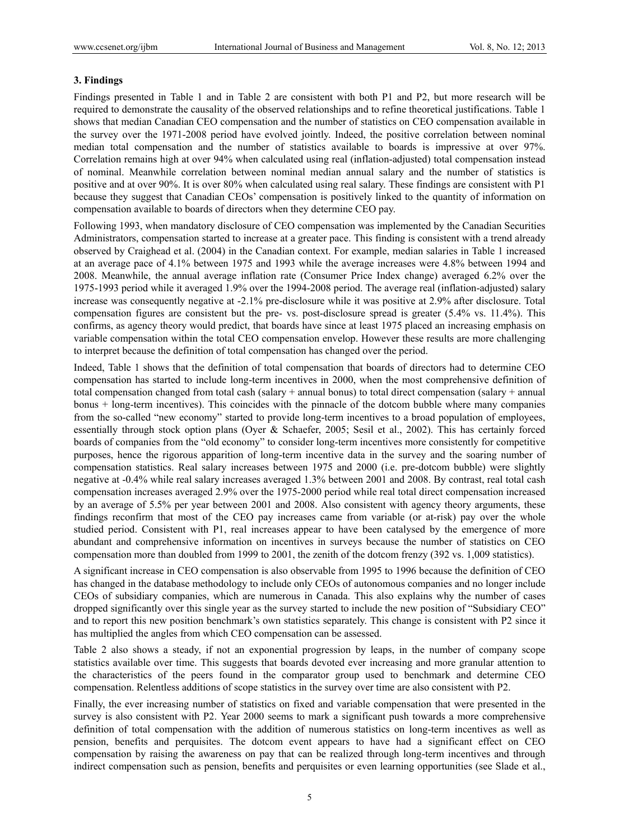## **3. Findings**

Findings presented in Table 1 and in Table 2 are consistent with both P1 and P2, but more research will be required to demonstrate the causality of the observed relationships and to refine theoretical justifications. Table 1 shows that median Canadian CEO compensation and the number of statistics on CEO compensation available in the survey over the 1971-2008 period have evolved jointly. Indeed, the positive correlation between nominal median total compensation and the number of statistics available to boards is impressive at over 97%. Correlation remains high at over 94% when calculated using real (inflation-adjusted) total compensation instead of nominal. Meanwhile correlation between nominal median annual salary and the number of statistics is positive and at over 90%. It is over 80% when calculated using real salary. These findings are consistent with P1 because they suggest that Canadian CEOs' compensation is positively linked to the quantity of information on compensation available to boards of directors when they determine CEO pay.

Following 1993, when mandatory disclosure of CEO compensation was implemented by the Canadian Securities Administrators, compensation started to increase at a greater pace. This finding is consistent with a trend already observed by Craighead et al. (2004) in the Canadian context. For example, median salaries in Table 1 increased at an average pace of 4.1% between 1975 and 1993 while the average increases were 4.8% between 1994 and 2008. Meanwhile, the annual average inflation rate (Consumer Price Index change) averaged 6.2% over the 1975-1993 period while it averaged 1.9% over the 1994-2008 period. The average real (inflation-adjusted) salary increase was consequently negative at -2.1% pre-disclosure while it was positive at 2.9% after disclosure. Total compensation figures are consistent but the pre- vs. post-disclosure spread is greater (5.4% vs. 11.4%). This confirms, as agency theory would predict, that boards have since at least 1975 placed an increasing emphasis on variable compensation within the total CEO compensation envelop. However these results are more challenging to interpret because the definition of total compensation has changed over the period.

Indeed, Table 1 shows that the definition of total compensation that boards of directors had to determine CEO compensation has started to include long-term incentives in 2000, when the most comprehensive definition of total compensation changed from total cash (salary + annual bonus) to total direct compensation (salary + annual bonus + long-term incentives). This coincides with the pinnacle of the dotcom bubble where many companies from the so-called "new economy" started to provide long-term incentives to a broad population of employees, essentially through stock option plans (Oyer & Schaefer, 2005; Sesil et al., 2002). This has certainly forced boards of companies from the "old economy" to consider long-term incentives more consistently for competitive purposes, hence the rigorous apparition of long-term incentive data in the survey and the soaring number of compensation statistics. Real salary increases between 1975 and 2000 (i.e. pre-dotcom bubble) were slightly negative at -0.4% while real salary increases averaged 1.3% between 2001 and 2008. By contrast, real total cash compensation increases averaged 2.9% over the 1975-2000 period while real total direct compensation increased by an average of 5.5% per year between 2001 and 2008. Also consistent with agency theory arguments, these findings reconfirm that most of the CEO pay increases came from variable (or at-risk) pay over the whole studied period. Consistent with P1, real increases appear to have been catalysed by the emergence of more abundant and comprehensive information on incentives in surveys because the number of statistics on CEO compensation more than doubled from 1999 to 2001, the zenith of the dotcom frenzy (392 vs. 1,009 statistics).

A significant increase in CEO compensation is also observable from 1995 to 1996 because the definition of CEO has changed in the database methodology to include only CEOs of autonomous companies and no longer include CEOs of subsidiary companies, which are numerous in Canada. This also explains why the number of cases dropped significantly over this single year as the survey started to include the new position of "Subsidiary CEO" and to report this new position benchmark's own statistics separately. This change is consistent with P2 since it has multiplied the angles from which CEO compensation can be assessed.

Table 2 also shows a steady, if not an exponential progression by leaps, in the number of company scope statistics available over time. This suggests that boards devoted ever increasing and more granular attention to the characteristics of the peers found in the comparator group used to benchmark and determine CEO compensation. Relentless additions of scope statistics in the survey over time are also consistent with P2.

Finally, the ever increasing number of statistics on fixed and variable compensation that were presented in the survey is also consistent with P2. Year 2000 seems to mark a significant push towards a more comprehensive definition of total compensation with the addition of numerous statistics on long-term incentives as well as pension, benefits and perquisites. The dotcom event appears to have had a significant effect on CEO compensation by raising the awareness on pay that can be realized through long-term incentives and through indirect compensation such as pension, benefits and perquisites or even learning opportunities (see Slade et al.,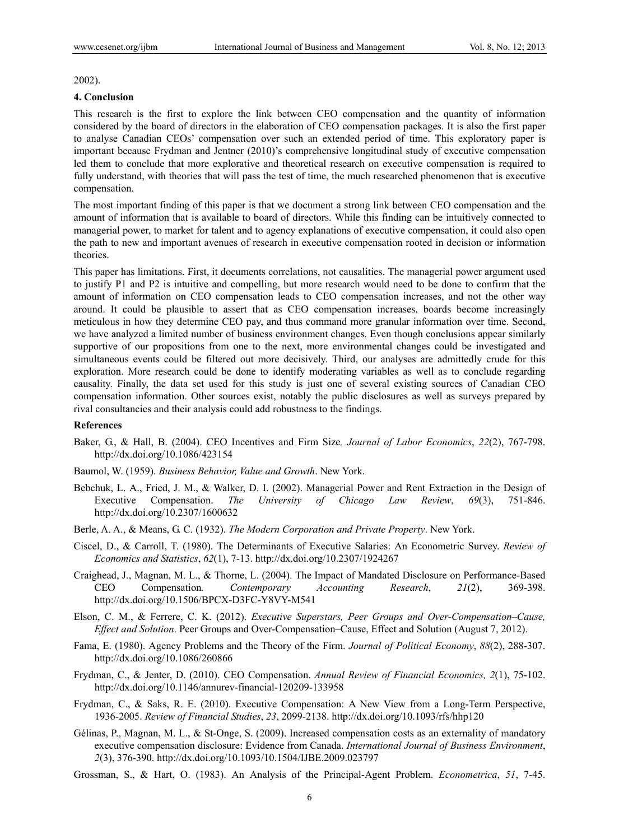#### 2002).

#### **4. Conclusion**

This research is the first to explore the link between CEO compensation and the quantity of information considered by the board of directors in the elaboration of CEO compensation packages. It is also the first paper to analyse Canadian CEOs' compensation over such an extended period of time. This exploratory paper is important because Frydman and Jentner (2010)'s comprehensive longitudinal study of executive compensation led them to conclude that more explorative and theoretical research on executive compensation is required to fully understand, with theories that will pass the test of time, the much researched phenomenon that is executive compensation.

The most important finding of this paper is that we document a strong link between CEO compensation and the amount of information that is available to board of directors. While this finding can be intuitively connected to managerial power, to market for talent and to agency explanations of executive compensation, it could also open the path to new and important avenues of research in executive compensation rooted in decision or information theories.

This paper has limitations. First, it documents correlations, not causalities. The managerial power argument used to justify P1 and P2 is intuitive and compelling, but more research would need to be done to confirm that the amount of information on CEO compensation leads to CEO compensation increases, and not the other way around. It could be plausible to assert that as CEO compensation increases, boards become increasingly meticulous in how they determine CEO pay, and thus command more granular information over time. Second, we have analyzed a limited number of business environment changes. Even though conclusions appear similarly supportive of our propositions from one to the next, more environmental changes could be investigated and simultaneous events could be filtered out more decisively. Third, our analyses are admittedly crude for this exploration. More research could be done to identify moderating variables as well as to conclude regarding causality. Finally, the data set used for this study is just one of several existing sources of Canadian CEO compensation information. Other sources exist, notably the public disclosures as well as surveys prepared by rival consultancies and their analysis could add robustness to the findings.

## **References**

- Baker, G., & Hall, B. (2004). CEO Incentives and Firm Size*. Journal of Labor Economics*, *22*(2), 767-798. http://dx.doi.org/10.1086/423154
- Baumol, W. (1959). *Business Behavior, Value and Growth*. New York.
- Bebchuk, L. A., Fried, J. M., & Walker, D. I. (2002). Managerial Power and Rent Extraction in the Design of Executive Compensation. *The University of Chicago Law Review*, *69*(3), 751-846. http://dx.doi.org/10.2307/1600632
- Berle, A. A., & Means, G. C. (1932). *The Modern Corporation and Private Property*. New York.
- Ciscel, D., & Carroll, T. (1980). The Determinants of Executive Salaries: An Econometric Survey. *Review of Economics and Statistics*, *62*(1), 7-13. http://dx.doi.org/10.2307/1924267
- Craighead, J., Magnan, M. L., & Thorne, L. (2004). The Impact of Mandated Disclosure on Performance-Based CEO Compensation*. Contemporary Accounting Research*, *21*(2), 369-398. http://dx.doi.org/10.1506/BPCX-D3FC-Y8VY-M541
- Elson, C. M., & Ferrere, C. K. (2012). *Executive Superstars, Peer Groups and Over-Compensation–Cause, Effect and Solution*. Peer Groups and Over-Compensation–Cause, Effect and Solution (August 7, 2012).
- Fama, E. (1980). Agency Problems and the Theory of the Firm. *Journal of Political Economy*, *88*(2), 288-307. http://dx.doi.org/10.1086/260866
- Frydman, C., & Jenter, D. (2010). CEO Compensation. *Annual Review of Financial Economics, 2*(1), 75-102. http://dx.doi.org/10.1146/annurev-financial-120209-133958
- Frydman, C., & Saks, R. E. (2010). Executive Compensation: A New View from a Long-Term Perspective, 1936-2005. *Review of Financial Studies*, *23*, 2099-2138. http://dx.doi.org/10.1093/rfs/hhp120
- Gélinas, P., Magnan, M. L., & St-Onge, S. (2009). Increased compensation costs as an externality of mandatory executive compensation disclosure: Evidence from Canada. *International Journal of Business Environment*, *2*(3), 376-390. http://dx.doi.org/10.1093/10.1504/IJBE.2009.023797
- Grossman, S., & Hart, O. (1983). An Analysis of the Principal-Agent Problem. *Econometrica*, *51*, 7-45.